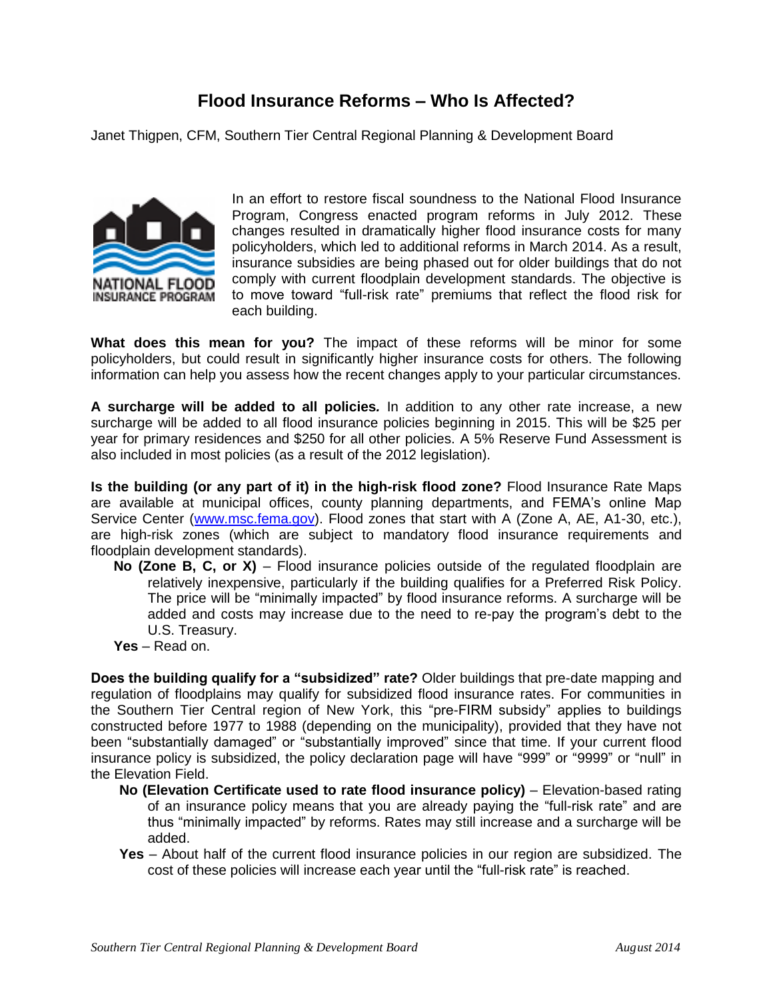## **Flood Insurance Reforms – Who Is Affected?**

Janet Thigpen, CFM, Southern Tier Central Regional Planning & Development Board



In an effort to restore fiscal soundness to the National Flood Insurance Program, Congress enacted program reforms in July 2012. These changes resulted in dramatically higher flood insurance costs for many policyholders, which led to additional reforms in March 2014. As a result, insurance subsidies are being phased out for older buildings that do not comply with current floodplain development standards. The objective is to move toward "full-risk rate" premiums that reflect the flood risk for each building.

**What does this mean for you?** The impact of these reforms will be minor for some policyholders, but could result in significantly higher insurance costs for others. The following information can help you assess how the recent changes apply to your particular circumstances.

**A surcharge will be added to all policies***.* In addition to any other rate increase, a new surcharge will be added to all flood insurance policies beginning in 2015. This will be \$25 per year for primary residences and \$250 for all other policies. A 5% Reserve Fund Assessment is also included in most policies (as a result of the 2012 legislation).

**Is the building (or any part of it) in the high-risk flood zone?** Flood Insurance Rate Maps are available at municipal offices, county planning departments, and FEMA's online Map Service Center [\(www.msc.fema.gov\)](http://www.msc.fema.gov/). Flood zones that start with A (Zone A, AE, A1-30, etc.), are high-risk zones (which are subject to mandatory flood insurance requirements and floodplain development standards).

- **No (Zone B, C, or X)** Flood insurance policies outside of the regulated floodplain are relatively inexpensive, particularly if the building qualifies for a Preferred Risk Policy. The price will be "minimally impacted" by flood insurance reforms. A surcharge will be added and costs may increase due to the need to re-pay the program's debt to the U.S. Treasury.
- **Yes** Read on.

**Does the building qualify for a "subsidized" rate?** Older buildings that pre-date mapping and regulation of floodplains may qualify for subsidized flood insurance rates. For communities in the Southern Tier Central region of New York, this "pre-FIRM subsidy" applies to buildings constructed before 1977 to 1988 (depending on the municipality), provided that they have not been "substantially damaged" or "substantially improved" since that time. If your current flood insurance policy is subsidized, the policy declaration page will have "999" or "9999" or "null" in the Elevation Field.

- **No (Elevation Certificate used to rate flood insurance policy)** Elevation-based rating of an insurance policy means that you are already paying the "full-risk rate" and are thus "minimally impacted" by reforms. Rates may still increase and a surcharge will be added.
- **Yes**  About half of the current flood insurance policies in our region are subsidized. The cost of these policies will increase each year until the "full-risk rate" is reached.